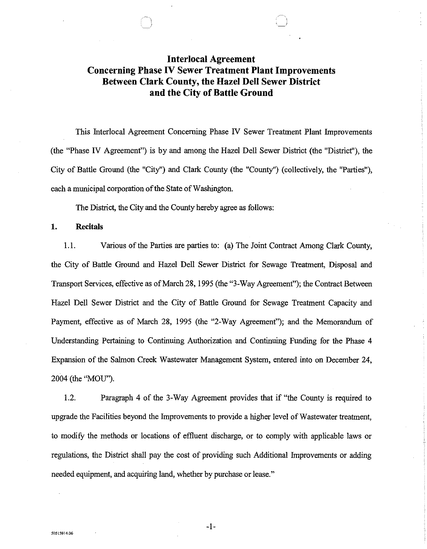## **Interlocal Agreement Concerning Phase IV Sewer Treatment Plant Improvements Between Clark County, the Hazel Dell Sewer District and the City of Battle Ground**

This Interlocal Agreement Concerning Phase N Sewer Treatment Plant Improvements (the "Phase IV Agreement") is by and among the Hazel Dell Sewer District (the "District"), the City of Battle Ground (the "City") and Clark County (the "County") (collectively, the "Parties"), each a municipal corporation of the State of Washington.

The District, the City and the County hereby agree as follows:

**1. Recitals** 

**50515914.06** 

1.1. Various of the Parties are parties to: (a) The Joint Contract Among Clark County, the City of Battle Ground and Hazel Dell Sewer District for Sewage Treatment, Disposal and Transport Services, effective as of March 28, 1995 (the "3-Way Agreement"); the Contract Between Hazel Dell Sewer District and the City of Battle Ground for Sewage Treatment Capacity and Payment, effective as of March 28, 1995 (the "2-Way Agreement"); and the Memorandum of Understanding Pertaining to Continuing Authorization and Continuing Funding for the Phase 4 Expansion of the Salmon Creek Wastewater Management System, entered into on December 24, 2004 {the "MOU").

1.2. Paragraph 4 of the 3-Way Agreement provides that if "the County is required to upgrade the Facilities beyond the Improvements to provide a higher level of Wastewater treatment, to modifY the methods or locations of effluent discharge, or to comply with applicable laws or regulations, the District shall pay the cost of providing such Additional Improvements or adding needed equipment, and acquiring land, whether by purchase or lease."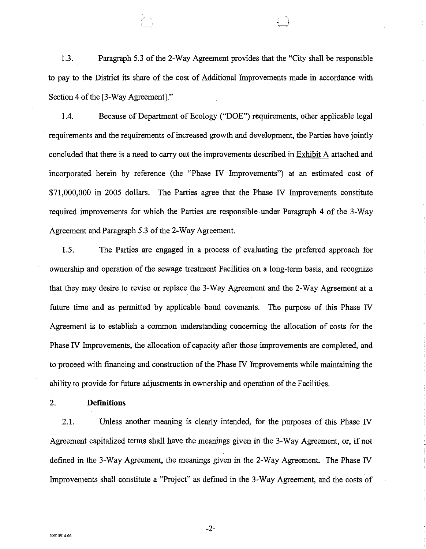1.3. Paragraph 5.3 of the 2-Way Agreement provides that the "City shall be responsible to pay to the District its share of the cost of Additional Improvements made in accordance with Section 4 of the [3-Way Agreement]."

1.4. Because of Department of Ecology ("DOE") requirements, other applicable legal requirements and the requirements of increased growth and development, the Parties have jointly concluded that there is a need to carry out the improvements described in Exhibit A attached and incorporated herein by reference (the "Phase IV Improvements") at an estimated cost of \$71,000,000 in 2005 dollars. The Parties agree that the Phase IV Improvements constitute required improvements for which the Parties are responsible under Paragraph 4 of the 3-Way Agreement and Paragraph 5.3 of the 2-Way Agreement.

1.5. The Parties are engaged in a process of evaluating the preferred approach for ownership and operation of the sewage treatment Facilities on a long-term basis, and recognize that they may desire to revise or replace the 3-Way Agreement and the 2-Way Agreement at a future time and as permitted by applicable bond covenants. The purpose of this Phase IV Agreement is to establish a common understanding concerning the allocation of costs for the Phase IV Improvements, the allocation of capacity after those improvements are completed, and to proceed with financing and construction of the Phase IV Improvements while maintaining the ability to provide for future adjustments in ownership and operation of the Facilities.

#### 2. **Definitions**

2.1. Unless another meaning is clearly intended, for the purposes of this Phase IV Agreement capitalized terms shall have the meanings given in the 3-Way Agreement, or, if not defined in the 3-Way Agreement, the meanings given in the 2-Way Agreement. The Phase IV Improvements shall constitute a "Project" as defined in the 3-Way Agreement, and the costs of

-2-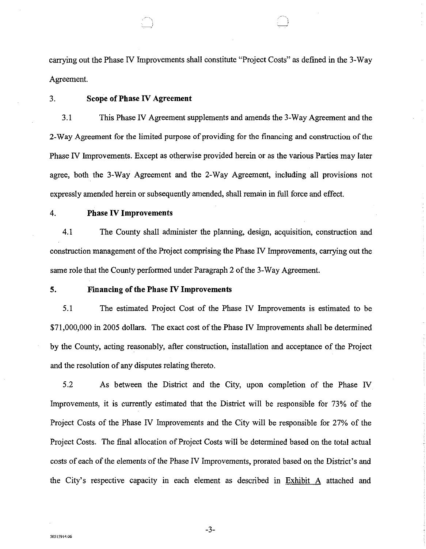carrying out the Phase IV Improvements shall constitute "Project Costs" as defined in the 3-Way Agreement.

#### 3. **Scope of Phase IV Agreement**

3.1 This Phase IV Agreement supplements and amends the 3-Way Agreement and the 2-Way Agreement for the limited purpose of providing for the financing and construction of the Phase N Improvements. Except as otherwise provided herein or as the various Parties may later agree, both the 3-Way Agreement and the 2-Way Agreement, including all provisions not expressly amended herein or subsequently amended, shall remain in full force and effect.

#### 4. **Phase IV Improvements**

4.1 The County shall administer the planning, design, acquisition, construction and construction management of the Project comprising the Phase N Improvements, carrying out the same role that the County performed under Paragraph 2 of the 3-Way Agreement.

#### **5. Financing of the Phase IV Improvements**

5.1 The estimated Project Cost of the Phase IV Improvements is estimated to be \$71,000,000 in 2005 dollars. The exact cost of the Phase IV Improvements shall be determined by the County, acting reasonably, after construction, installation and acceptance of the Project and the resolution of any disputes relating thereto.

5.2 As between the District and the City, upon completion of the Phase N Improvements, it is currently estimated that the District will be responsible for 73% of the Project Costs of the Phase IV Improvements and the City will be responsible for 27% of the Project Costs. The final allocation of Project Costs will be determined based on the total actual costs of each of the elements of the Phase IV Improvements, prorated based on the District's and the City's respective capacity in each element as described in Exhibit A attached and

-3-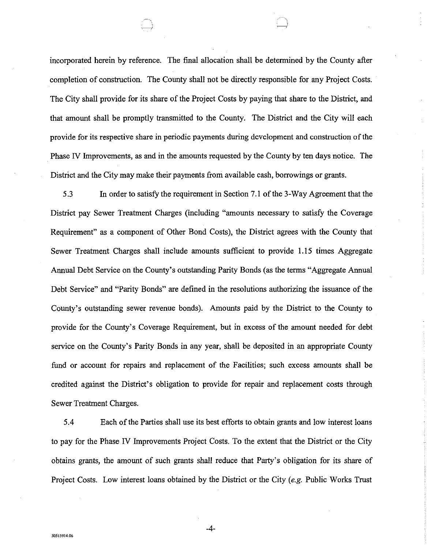incorporated herein by reference. The final allocation shall be determined by the County after completion of construction. The County shall not be directly responsible for any Project Costs. The City shall provide for its share of the Project Costs by paying that share to the District, and that amount shall be promptly transmitted to the County. The District and the City will each provide for its respective share in periodic payments during development and construction of the Phase N Improvements, as and in the amounts requested by the County by ten days notice. The District and the City may make their payments from available cash, borrowings or grants.

5 .3 In order to satisfy the requirement in Section 7 .I of the 3-Way Agreement that the District pay Sewer Treatment Charges (including "amounts necessary to satisfy the Coverage Requirement" as a component of Other Bond Costs), the District agrees with the County that Sewer Treatment Charges shall include amounts sufficient to provide 1.15 times Aggregate Annual Debt Service on the County's outstanding Parity Bonds (as the terms "Aggregate Annual Debt Service" and "Parity Bonds" are defined in the resolutions authorizing the issuance of the County's outstanding sewer revenue bonds). Amounts paid by the District to the County to provide for the County's Coverage Requirement, but in excess of the amount needed for debt service on the County's Parity Bonds in any year, shall be deposited in an appropriate County fund or account for repairs and replacement of the Facilities; such excess amounts shall be credited against the District's obligation to provide for repair and replacement costs through Sewer Treatment Charges.

5.4 Each of the Parties shall use its best efforts to obtain grants and low interest loans to pay for the Phase IV Improvements Project Costs. To the extent that the District or the City obtains grants, the amount of such grants shall reduce that Party's obligation for its share of Project Costs. Low interest loans obtained by the District or the City *(e.g.* Public Works Trust

-4-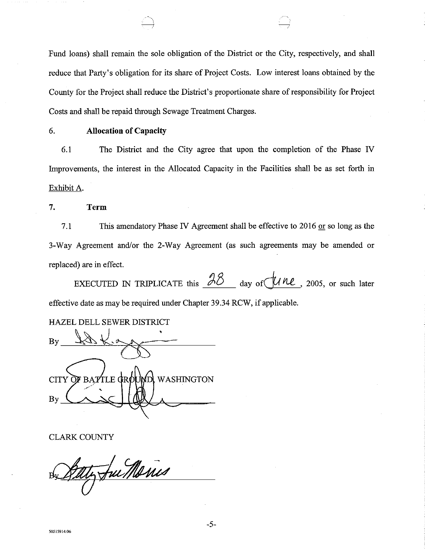Fund loans) shall remain the sole obligation of the District or the City, respectively, and shall reduce that Party's obligation for its share of Project Costs. Low interest loans obtained by the County for the Project shall reduce the District's proportionate share of responsibility for Project Costs and shall be repaid through Sewage Treatment Charges.

### 6. **Allocation of Capacity**

6.1 The District and the City agree that upon the completion of the Phase IV Improvements, the interest in the Allocated Capacity in the Facilities shall be as set forth in Exhibit A.

**7. Term** 

7.1 This amendatory Phase IV Agreement shall be effective to 2016 or so long as the 3-Way Agreement and/or the 2-Way Agreement (as such agreements may be amended or replaced) are in effect.

EXECUTED IN TRIPLICATE this  $\beta\delta$  day of  $\mu$  *he*, 2005, or such later effective date as may be required under Chapter 39.34 RCW, if applicable.

HAZEL DELL SEWER DISTRICT

 $By$   $\sqrt{8\sqrt{6\pi}}$ **CITY** TLE GR¢ **WASHINGTON** By

CLARK COUNTY

Jue Maris

-5-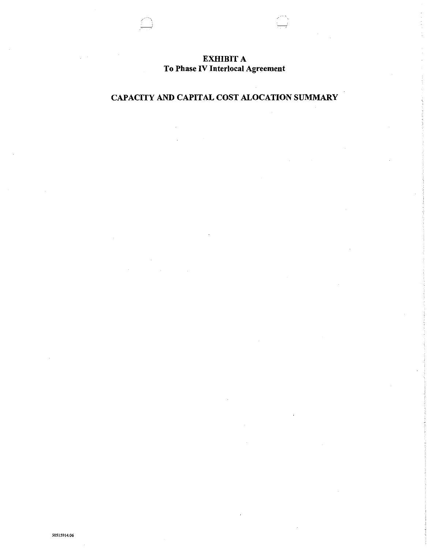## EXHIBIT A To Phase IV Interlocal Agreement

# CAPACITY AND CAPITAL COST ALOCATION SUMMARY